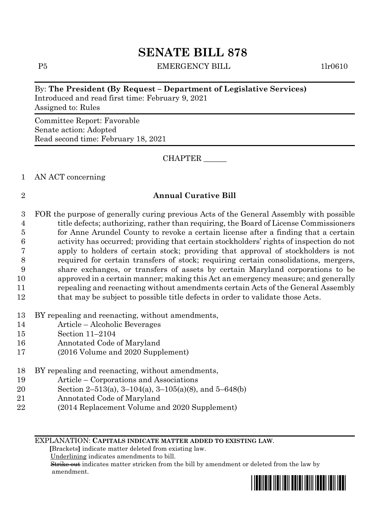P5 EMERGENCY BILL 1lr0610

#### By: **The President (By Request – Department of Legislative Services)**

Introduced and read first time: February 9, 2021 Assigned to: Rules

Committee Report: Favorable Senate action: Adopted Read second time: February 18, 2021

CHAPTER \_\_\_\_\_\_

1 AN ACT concerning

#### 2 **Annual Curative Bill**

 FOR the purpose of generally curing previous Acts of the General Assembly with possible title defects; authorizing, rather than requiring, the Board of License Commissioners for Anne Arundel County to revoke a certain license after a finding that a certain activity has occurred; providing that certain stockholders' rights of inspection do not apply to holders of certain stock; providing that approval of stockholders is not required for certain transfers of stock; requiring certain consolidations, mergers, share exchanges, or transfers of assets by certain Maryland corporations to be approved in a certain manner; making this Act an emergency measure; and generally repealing and reenacting without amendments certain Acts of the General Assembly 12 that may be subject to possible title defects in order to validate those Acts.

- 13 BY repealing and reenacting, without amendments,
- 14 Article Alcoholic Beverages
- 15 Section 11–2104
- 16 Annotated Code of Maryland
- 17 (2016 Volume and 2020 Supplement)
- 18 BY repealing and reenacting, without amendments,
- 19 Article Corporations and Associations
- 20 Section 2–513(a), 3–104(a), 3–105(a)(8), and 5–648(b)
- 21 Annotated Code of Maryland
- 22 (2014 Replacement Volume and 2020 Supplement)

EXPLANATION: **CAPITALS INDICATE MATTER ADDED TO EXISTING LAW**.

 **[**Brackets**]** indicate matter deleted from existing law.

Underlining indicates amendments to bill.

 Strike out indicates matter stricken from the bill by amendment or deleted from the law by amendment.

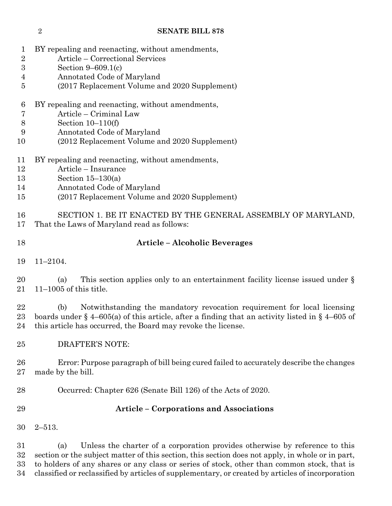| 1<br>$\overline{2}$  | BY repealing and reenacting, without amendments,<br>Article – Correctional Services                                                                                                                                                                                                  |
|----------------------|--------------------------------------------------------------------------------------------------------------------------------------------------------------------------------------------------------------------------------------------------------------------------------------|
| $\boldsymbol{3}$     | Section $9-609.1(c)$                                                                                                                                                                                                                                                                 |
| 4                    | Annotated Code of Maryland                                                                                                                                                                                                                                                           |
| $\overline{5}$       | (2017 Replacement Volume and 2020 Supplement)                                                                                                                                                                                                                                        |
| 6                    | BY repealing and reenacting, without amendments,                                                                                                                                                                                                                                     |
| 7                    | Article - Criminal Law                                                                                                                                                                                                                                                               |
| $8\,$                | Section $10-110(f)$                                                                                                                                                                                                                                                                  |
| 9<br>10              | Annotated Code of Maryland<br>(2012 Replacement Volume and 2020 Supplement)                                                                                                                                                                                                          |
| 11<br>12<br>13<br>14 | BY repealing and reenacting, without amendments,<br>Article - Insurance<br>Section $15-130(a)$<br>Annotated Code of Maryland                                                                                                                                                         |
| 15                   | (2017 Replacement Volume and 2020 Supplement)                                                                                                                                                                                                                                        |
| 16<br>17             | SECTION 1. BE IT ENACTED BY THE GENERAL ASSEMBLY OF MARYLAND,<br>That the Laws of Maryland read as follows:                                                                                                                                                                          |
| 18                   | <b>Article - Alcoholic Beverages</b>                                                                                                                                                                                                                                                 |
| 19                   | $11 - 2104.$                                                                                                                                                                                                                                                                         |
| 20<br>21             | This section applies only to an entertainment facility license issued under $\S$<br>(a)<br>$11-1005$ of this title.                                                                                                                                                                  |
| 22<br>23<br>24       | Notwithstanding the mandatory revocation requirement for local licensing<br>(b)<br>boards under $\S$ 4–605(a) of this article, after a finding that an activity listed in $\S$ 4–605 of<br>this article has occurred, the Board may revoke the license.                              |
| 25                   | DRAFTER'S NOTE:                                                                                                                                                                                                                                                                      |
| 26<br>27             | Error: Purpose paragraph of bill being cured failed to accurately describe the changes<br>made by the bill.                                                                                                                                                                          |
| 28                   | Occurred: Chapter 626 (Senate Bill 126) of the Acts of 2020.                                                                                                                                                                                                                         |
| 29                   | <b>Article - Corporations and Associations</b>                                                                                                                                                                                                                                       |
| 30                   | $2 - 513.$                                                                                                                                                                                                                                                                           |
| 31<br>32<br>33       | Unless the charter of a corporation provides otherwise by reference to this<br>(a)<br>section or the subject matter of this section, this section does not apply, in whole or in part,<br>to holders of any shares or any class or series of stock, other than common stock, that is |

classified or reclassified by articles of supplementary, or created by articles of incorporation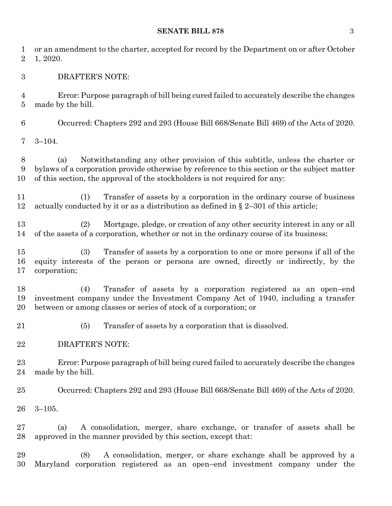## **SENATE BILL 878** 3

| 1<br>$\overline{2}$       | or an amendment to the charter, accepted for record by the Department on or after October<br>1, 2020.                                                                                                                                                            |
|---------------------------|------------------------------------------------------------------------------------------------------------------------------------------------------------------------------------------------------------------------------------------------------------------|
| $\boldsymbol{3}$          | <b>DRAFTER'S NOTE:</b>                                                                                                                                                                                                                                           |
| $\overline{4}$<br>$\bf 5$ | Error: Purpose paragraph of bill being cured failed to accurately describe the changes<br>made by the bill.                                                                                                                                                      |
| 6                         | Occurred: Chapters 292 and 293 (House Bill 668/Senate Bill 469) of the Acts of 2020.                                                                                                                                                                             |
| 7                         | $3 - 104.$                                                                                                                                                                                                                                                       |
| 8<br>9<br>10              | Notwithstanding any other provision of this subtitle, unless the charter or<br>(a)<br>bylaws of a corporation provide otherwise by reference to this section or the subject matter<br>of this section, the approval of the stockholders is not required for any: |
| 11<br>12                  | Transfer of assets by a corporation in the ordinary course of business<br>(1)<br>actually conducted by it or as a distribution as defined in $\S 2-301$ of this article;                                                                                         |
| 13<br>14                  | Mortgage, pledge, or creation of any other security interest in any or all<br>(2)<br>of the assets of a corporation, whether or not in the ordinary course of its business;                                                                                      |
| 15<br>16<br>17            | Transfer of assets by a corporation to one or more persons if all of the<br>(3)<br>equity interests of the person or persons are owned, directly or indirectly, by the<br>corporation;                                                                           |
| 18<br>19<br>20            | (4)<br>Transfer of assets by a corporation registered as an open-end<br>investment company under the Investment Company Act of 1940, including a transfer<br>between or among classes or series of stock of a corporation; or                                    |
| 21                        | Transfer of assets by a corporation that is dissolved.<br>(5)                                                                                                                                                                                                    |
| 22                        | <b>DRAFTER'S NOTE:</b>                                                                                                                                                                                                                                           |
| 23<br>24                  | Error: Purpose paragraph of bill being cured failed to accurately describe the changes<br>made by the bill.                                                                                                                                                      |
| 25                        | Occurred: Chapters 292 and 293 (House Bill 668/Senate Bill 469) of the Acts of 2020.                                                                                                                                                                             |
| 26                        | $3 - 105.$                                                                                                                                                                                                                                                       |
| 27<br>28                  | A consolidation, merger, share exchange, or transfer of assets shall be<br>(a)<br>approved in the manner provided by this section, except that:                                                                                                                  |
| 29<br>30                  | (8)<br>A consolidation, merger, or share exchange shall be approved by a<br>Maryland corporation registered as an open-end investment company under the                                                                                                          |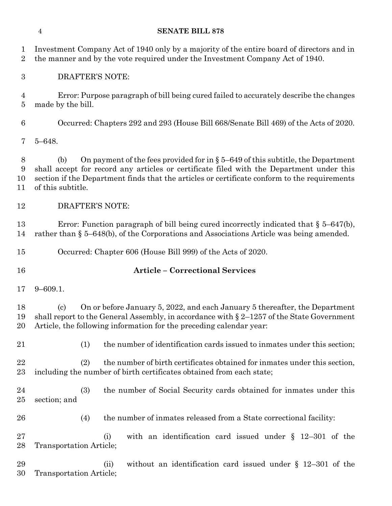| 1<br>$\overline{2}$              | Investment Company Act of 1940 only by a majority of the entire board of directors and in<br>the manner and by the vote required under the Investment Company Act of 1940.                                                                                                                                 |
|----------------------------------|------------------------------------------------------------------------------------------------------------------------------------------------------------------------------------------------------------------------------------------------------------------------------------------------------------|
| $\boldsymbol{3}$                 | <b>DRAFTER'S NOTE:</b>                                                                                                                                                                                                                                                                                     |
| $\overline{4}$<br>$\overline{5}$ | Error: Purpose paragraph of bill being cured failed to accurately describe the changes<br>made by the bill.                                                                                                                                                                                                |
| $\boldsymbol{6}$                 | Occurred: Chapters 292 and 293 (House Bill 668/Senate Bill 469) of the Acts of 2020.                                                                                                                                                                                                                       |
| 7                                | $5 - 648.$                                                                                                                                                                                                                                                                                                 |
| 8<br>9<br>10<br>11               | On payment of the fees provided for in $\S 5-649$ of this subtitle, the Department<br>(b)<br>shall accept for record any articles or certificate filed with the Department under this<br>section if the Department finds that the articles or certificate conform to the requirements<br>of this subtitle. |
| 12                               | <b>DRAFTER'S NOTE:</b>                                                                                                                                                                                                                                                                                     |
| 13<br>14                         | Error: Function paragraph of bill being cured incorrectly indicated that $\S 5-647(b)$ ,<br>rather than $\S$ 5–648(b), of the Corporations and Associations Article was being amended.                                                                                                                     |
| 15                               | Occurred: Chapter 606 (House Bill 999) of the Acts of 2020.                                                                                                                                                                                                                                                |
| 16                               | <b>Article - Correctional Services</b>                                                                                                                                                                                                                                                                     |
| 17                               | $9 - 609.1.$                                                                                                                                                                                                                                                                                               |
| 18<br>19<br>20                   | On or before January 5, 2022, and each January 5 thereafter, the Department<br>$\left( \mathrm{c} \right)$<br>shall report to the General Assembly, in accordance with $\S 2$ –1257 of the State Government<br>Article, the following information for the preceding calendar year:                         |
| 21                               | the number of identification cards issued to inmates under this section;<br>(1)                                                                                                                                                                                                                            |
|                                  |                                                                                                                                                                                                                                                                                                            |
| 22<br>23                         | (2)<br>the number of birth certificates obtained for inmates under this section,<br>including the number of birth certificates obtained from each state;                                                                                                                                                   |
| 24<br>25                         | the number of Social Security cards obtained for inmates under this<br>(3)<br>section; and                                                                                                                                                                                                                 |
| 26                               | the number of inmates released from a State correctional facility:<br>(4)                                                                                                                                                                                                                                  |
| 27<br>28                         | with an identification card issued under $\S$ 12-301 of the<br>(i)<br>Transportation Article;                                                                                                                                                                                                              |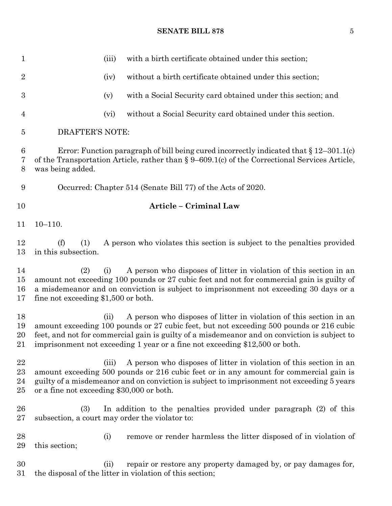## **SENATE BILL 878** 5

| $\mathbf{1}$                  | with a birth certificate obtained under this section;<br>(iii)                                                                                                                                                                                                                                                                                       |
|-------------------------------|------------------------------------------------------------------------------------------------------------------------------------------------------------------------------------------------------------------------------------------------------------------------------------------------------------------------------------------------------|
| $\overline{2}$                | without a birth certificate obtained under this section;<br>(iv)                                                                                                                                                                                                                                                                                     |
| $\boldsymbol{3}$              | with a Social Security card obtained under this section; and<br>(v)                                                                                                                                                                                                                                                                                  |
| $\overline{4}$                | without a Social Security card obtained under this section.<br>(vi)                                                                                                                                                                                                                                                                                  |
| 5                             | <b>DRAFTER'S NOTE:</b>                                                                                                                                                                                                                                                                                                                               |
| 6<br>7<br>8                   | Error: Function paragraph of bill being cured incorrectly indicated that $\S 12-301.1(c)$<br>of the Transportation Article, rather than § 9-609.1(c) of the Correctional Services Article,<br>was being added.                                                                                                                                       |
| 9                             | Occurred: Chapter 514 (Senate Bill 77) of the Acts of 2020.                                                                                                                                                                                                                                                                                          |
| 10                            | Article - Criminal Law                                                                                                                                                                                                                                                                                                                               |
| 11                            | $10 - 110.$                                                                                                                                                                                                                                                                                                                                          |
| 12<br>13                      | A person who violates this section is subject to the penalties provided<br>(f)<br>(1)<br>in this subsection.                                                                                                                                                                                                                                         |
| 14<br>15<br>16<br>17          | A person who disposes of litter in violation of this section in an<br>(2)<br>(i)<br>amount not exceeding 100 pounds or 27 cubic feet and not for commercial gain is guilty of<br>a misdemeanor and on conviction is subject to imprisonment not exceeding 30 days or a<br>fine not exceeding $$1,500$ or both.                                       |
| 18<br>19<br>20<br>21          | A person who disposes of litter in violation of this section in an<br>(ii)<br>amount exceeding 100 pounds or 27 cubic feet, but not exceeding 500 pounds or 216 cubic<br>feet, and not for commercial gain is guilty of a misdemeanor and on conviction is subject to<br>imprisonment not exceeding 1 year or a fine not exceeding \$12,500 or both. |
| 22<br>$^{23}$<br>24<br>$25\,$ | A person who disposes of litter in violation of this section in an<br>(iii)<br>amount exceeding 500 pounds or 216 cubic feet or in any amount for commercial gain is<br>guilty of a misdemeanor and on conviction is subject to imprisonment not exceeding 5 years<br>or a fine not exceeding \$30,000 or both.                                      |
| 26<br>$27\,$                  | (3)<br>In addition to the penalties provided under paragraph (2) of this<br>subsection, a court may order the violator to:                                                                                                                                                                                                                           |
| 28<br>29                      | remove or render harmless the litter disposed of in violation of<br>(i)<br>this section;                                                                                                                                                                                                                                                             |
| 30<br>$31\,$                  | repair or restore any property damaged by, or pay damages for,<br>(ii)<br>the disposal of the litter in violation of this section;                                                                                                                                                                                                                   |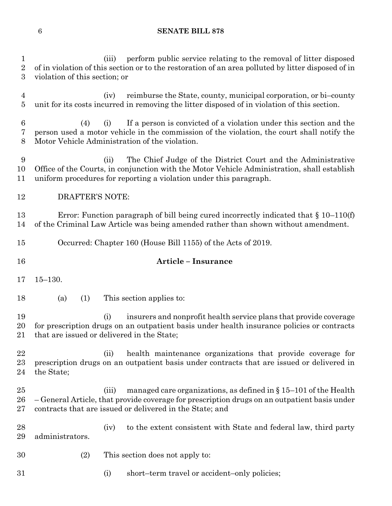1 (iii) perform public service relating to the removal of litter disposed<br>2 of in violation of this section or to the restoration of an area polluted by litter disposed of in of in violation of this section or to the restoration of an area polluted by litter disposed of in

| 3                   | violation of this section; or                                                                                                                                                                                                             |
|---------------------|-------------------------------------------------------------------------------------------------------------------------------------------------------------------------------------------------------------------------------------------|
| 4<br>$\overline{5}$ | reimburse the State, county, municipal corporation, or bi-county<br>(iv)<br>unit for its costs incurred in removing the litter disposed of in violation of this section.                                                                  |
| 6<br>7<br>8         | If a person is convicted of a violation under this section and the<br>(4)<br>(i)<br>person used a motor vehicle in the commission of the violation, the court shall notify the<br>Motor Vehicle Administration of the violation.          |
| 9<br>10<br>11       | The Chief Judge of the District Court and the Administrative<br>(ii)<br>Office of the Courts, in conjunction with the Motor Vehicle Administration, shall establish<br>uniform procedures for reporting a violation under this paragraph. |
| 12                  | <b>DRAFTER'S NOTE:</b>                                                                                                                                                                                                                    |
| 13<br>14            | Error: Function paragraph of bill being cured incorrectly indicated that $\S 10-110(f)$<br>of the Criminal Law Article was being amended rather than shown without amendment.                                                             |
| 15                  | Occurred: Chapter 160 (House Bill 1155) of the Acts of 2019.                                                                                                                                                                              |
| 16                  | <b>Article - Insurance</b>                                                                                                                                                                                                                |
| 17                  | $15 - 130.$                                                                                                                                                                                                                               |
| 18                  | (a)<br>(1)<br>This section applies to:                                                                                                                                                                                                    |
| 19<br>20<br>21      | insurers and nonprofit health service plans that provide coverage<br>(i)<br>for prescription drugs on an outpatient basis under health insurance policies or contracts<br>that are issued or delivered in the State;                      |
| 22                  |                                                                                                                                                                                                                                           |
| 23<br>24            | health maintenance organizations that provide coverage for<br>(ii)<br>prescription drugs on an outpatient basis under contracts that are issued or delivered in<br>the State;                                                             |
| 25<br>26<br>27      | managed care organizations, as defined in $\S 15-101$ of the Health<br>(iii)<br>-General Article, that provide coverage for prescription drugs on an outpatient basis under<br>contracts that are issued or delivered in the State; and   |
| 28<br>29            | to the extent consistent with State and federal law, third party<br>(iv)<br>administrators.                                                                                                                                               |
| 30                  | This section does not apply to:<br>(2)                                                                                                                                                                                                    |